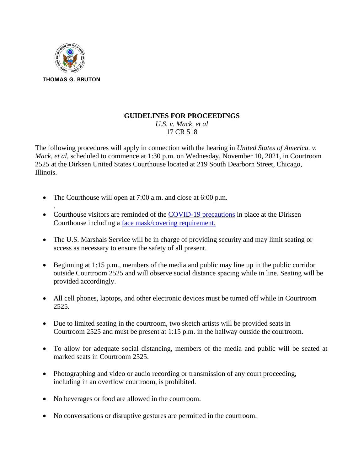

## **GUIDELINES FOR PROCEEDINGS**

*U.S. v. Mack, et al* 17 CR 518

The following procedures will apply in connection with the hearing in *United States of America. v. Mack, et al,* scheduled to commence at 1:30 p.m. on Wednesday, November 10, 2021, in Courtroom 2525 at the Dirksen United States Courthouse located at 219 South Dearborn Street, Chicago, Illinois.

- The Courthouse will open at 7:00 a.m. and close at 6:00 p.m.
- . • Courthouse visitors are reminded of the [COVID-19 precautions](https://www.ilnd.uscourts.gov/Pages.aspx?page=chicagocovid19) in place at the Dirksen Courthouse including a [face mask/covering requirement.](https://www.ilnd.uscourts.gov/_assets/_documents/_forms/_clerksoffice/rules/admin/pdf-orders/CA7%20%20NDIL%20Order%20Amending%20Face%20Coverings%20Signed.pdf)
- The U.S. Marshals Service will be in charge of providing security and may limit seating or access as necessary to ensure the safety of all present.
- Beginning at 1:15 p.m., members of the media and public may line up in the public corridor outside Courtroom 2525 and will observe social distance spacing while in line. Seating will be provided accordingly.
- All cell phones, laptops, and other electronic devices must be turned off while in Courtroom 2525.
- Due to limited seating in the courtroom, two sketch artists will be provided seats in Courtroom 2525 and must be present at 1:15 p.m. in the hallway outside the courtroom.
- To allow for adequate social distancing, members of the media and public will be seated at marked seats in Courtroom 2525.
- Photographing and video or audio recording or transmission of any court proceeding, including in an overflow courtroom, is prohibited.
- No beverages or food are allowed in the courtroom.
- No conversations or disruptive gestures are permitted in the courtroom.